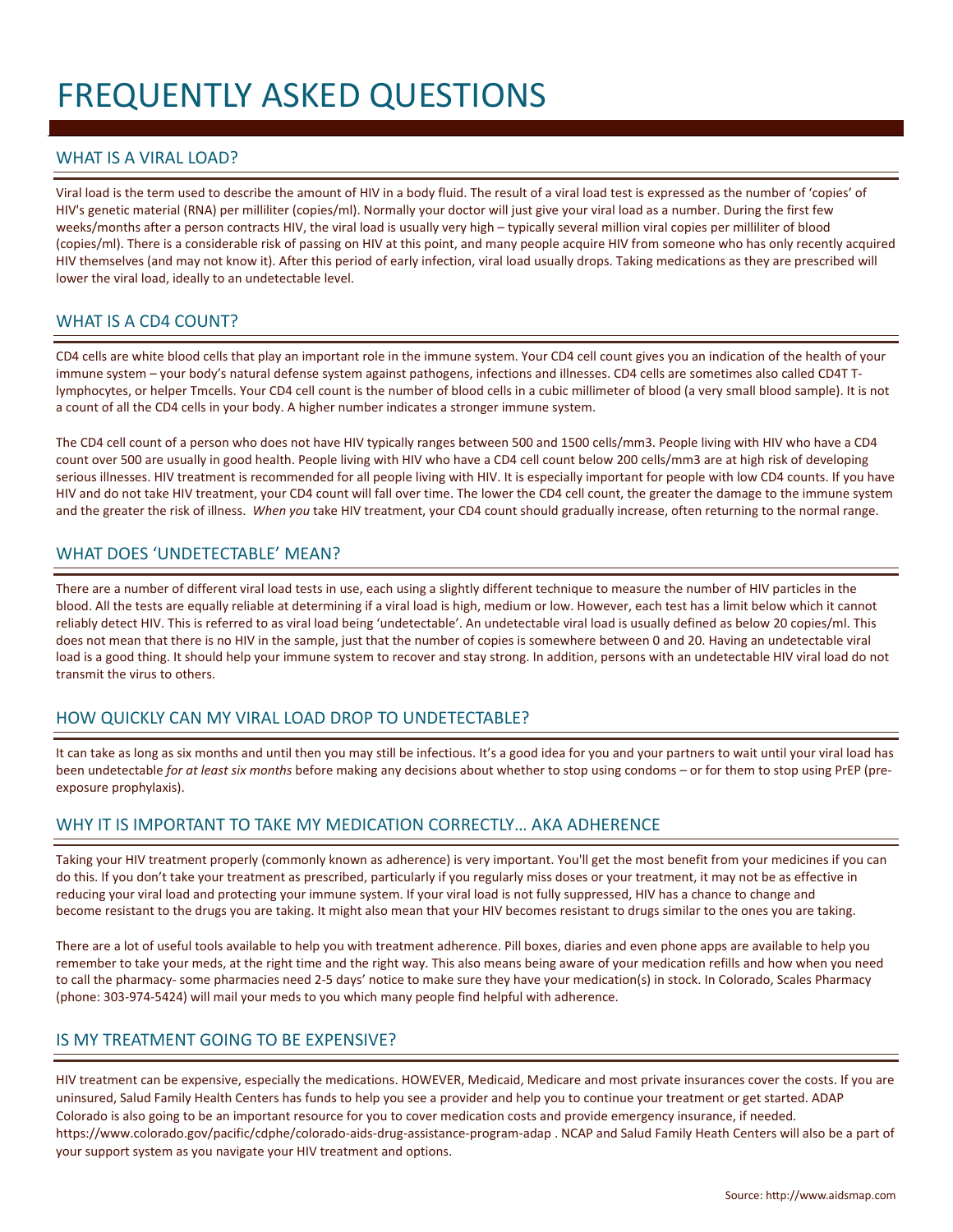# FREQUENTLY ASKED QUESTIONS

## WHAT IS A VIRAL LOAD?

Viral load is the term used to describe the amount of HIV in a body fluid. The result of a viral load test is expressed as the number of 'copies' of HIV's genetic material (RNA) per milliliter (copies/ml). Normally your doctor will just give your viral load as a number. During the first few weeks/months after a person contracts HIV, the viral load is usually very high – typically several million viral copies per milliliter of blood (copies/ml). There is a considerable risk of passing on HIV at this point, and many people acquire HIV from someone who has only recently acquired HIV themselves (and may not know it). After this period of early infection, viral load usually drops. Taking medications as they are prescribed will lower the viral load, ideally to an undetectable level.

## WHAT IS A CD4 COUNT?

CD4 cells are white blood cells that play an important role in the immune system. Your CD4 cell count gives you an indication of the health of your immune system – your body's natural defense system against pathogens, infections and illnesses. CD4 cells are sometimes also called CD4T Tlymphocytes, or helper Tmcells. Your CD4 cell count is the number of blood cells in a cubic millimeter of blood (a very small blood sample). It is not a count of all the CD4 cells in your body. A higher number indicates a stronger immune system.

The CD4 cell count of a person who does not have HIV typically ranges between 500 and 1500 cells/mm3. People living with HIV who have a CD4 count over 500 are usually in good health. People living with HIV who have a CD4 cell count below 200 cells/mm3 are at high risk of developing serious illnesses. HIV treatment is recommended for all people living with HIV. It is especially important for people with low CD4 counts. If you have HIV and do not take HIV treatment, your CD4 count will fall over time. The lower the CD4 cell count, the greater the damage to the immune system and the greater the risk of illness. *When you* take HIV treatment, your CD4 count should gradually increase, often returning to the normal range.

#### WHAT DOES 'UNDETECTABLE' MEAN?

There are a number of different viral load tests in use, each using a slightly different technique to measure the number of HIV particles in the blood. All the tests are equally reliable at determining if a viral load is high, medium or low. However, each test has a limit below which it cannot reliably detect HIV. This is referred to as viral load being 'undetectable'. An undetectable viral load is usually defined as below 20 copies/ml. This does not mean that there is no HIV in the sample, just that the number of copies is somewhere between 0 and 20. Having an undetectable viral load is a good thing. It should help your immune system to recover and stay strong. In addition, persons with an undetectable HIV viral load do not transmit the virus to others.

## HOW QUICKLY CAN MY VIRAL LOAD DROP TO UNDETECTABLE?

It can take as long as six months and until then you may still be infectious. It's a good idea for you and your partners to wait until your viral load has been undetectable *for at least six months* before making any decisions about whether to stop using condoms – or for them to stop using PrEP (preexposure prophylaxis).

# WHY IT IS IMPORTANT TO TAKE MY MEDICATION CORRECTLY... AKA ADHERENCE

Taking your HIV treatment properly (commonly known as adherence) is very important. You'll get the most benefit from your medicines if you can do this. If you don't take your treatment as prescribed, particularly if you regularly miss doses or your treatment, it may not be as effective in reducing your viral load and protecting your immune system. If your viral load is not fully suppressed, HIV has a chance to change and become resistant to the drugs you are taking. It might also mean that your HIV becomes resistant to drugs similar to the ones you are taking.

There are a lot of useful tools available to help you with treatment adherence. Pill boxes, diaries and even phone apps are available to help you remember to take your meds, at the right time and the right way. This also means being aware of your medication refills and how when you need to call the pharmacy- some pharmacies need 2-5 days' notice to make sure they have your medication(s) in stock. In Colorado, Scales Pharmacy (phone: 303-974-5424) will mail your meds to you which many people find helpful with adherence.

## IS MY TREATMENT GOING TO BE EXPENSIVE?

HIV treatment can be expensive, especially the medications. HOWEVER, Medicaid, Medicare and most private insurances cover the costs. If you are uninsured, Salud Family Health Centers has funds to help you see a provider and help you to continue your treatment or get started. ADAP Colorado is also going to be an important resource for you to cover medication costs and provide emergency insurance, if needed. <https://www.colorado.gov/pacific/cdphe/colorado-aids-drug-assistance-program-adap> . NCAP and Salud Family Heath Centers will also be a part of your support system as you navigate your HIV treatment and options.